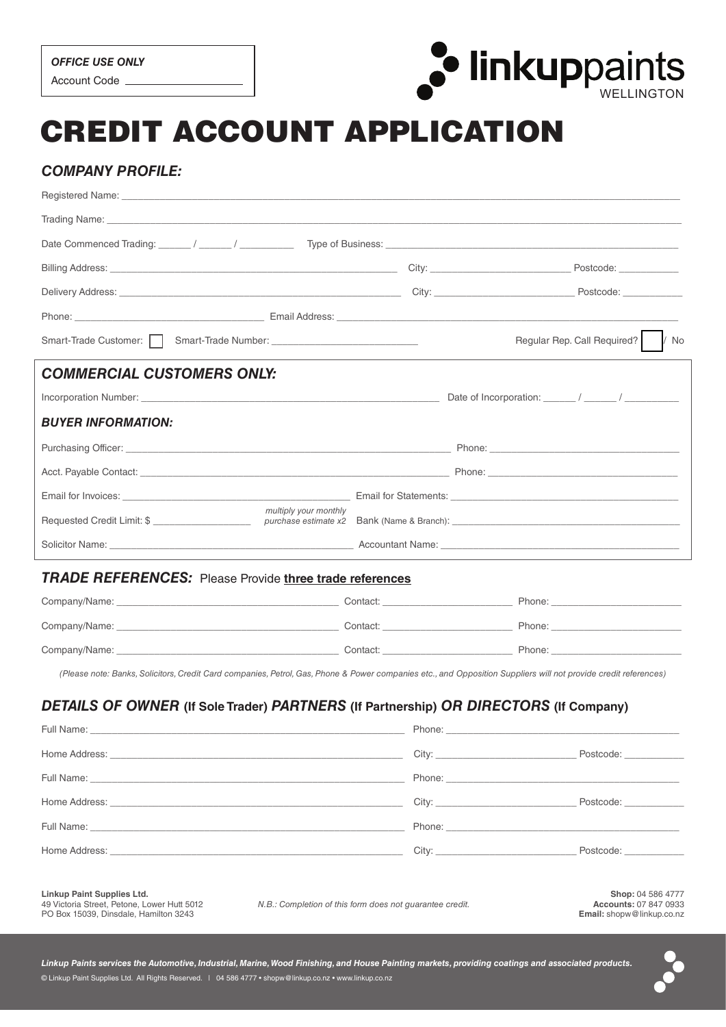

# CREDIT ACCOUNT APPLICATION

# *COMPANY PROFILE:*

| Smart-Trade Customer:     Smart-Trade Number: __________________________________                                                                                                                                               |                                                                                                                                                                                                                                | Regular Rep. Call Required?   / No                                                                                                                                                                                                                                                                                                                                                                                                                              |  |
|--------------------------------------------------------------------------------------------------------------------------------------------------------------------------------------------------------------------------------|--------------------------------------------------------------------------------------------------------------------------------------------------------------------------------------------------------------------------------|-----------------------------------------------------------------------------------------------------------------------------------------------------------------------------------------------------------------------------------------------------------------------------------------------------------------------------------------------------------------------------------------------------------------------------------------------------------------|--|
| <b>COMMERCIAL CUSTOMERS ONLY:</b>                                                                                                                                                                                              |                                                                                                                                                                                                                                |                                                                                                                                                                                                                                                                                                                                                                                                                                                                 |  |
|                                                                                                                                                                                                                                |                                                                                                                                                                                                                                |                                                                                                                                                                                                                                                                                                                                                                                                                                                                 |  |
| <b>BUYER INFORMATION:</b>                                                                                                                                                                                                      |                                                                                                                                                                                                                                |                                                                                                                                                                                                                                                                                                                                                                                                                                                                 |  |
|                                                                                                                                                                                                                                |                                                                                                                                                                                                                                |                                                                                                                                                                                                                                                                                                                                                                                                                                                                 |  |
|                                                                                                                                                                                                                                |                                                                                                                                                                                                                                |                                                                                                                                                                                                                                                                                                                                                                                                                                                                 |  |
| Email for Invoices: Communication of the Communication of the Communication of the Communication of the Communication of the Communication of the Communication of the Communication of the Communication of the Communication |                                                                                                                                                                                                                                |                                                                                                                                                                                                                                                                                                                                                                                                                                                                 |  |
| multiply your monthly                                                                                                                                                                                                          |                                                                                                                                                                                                                                |                                                                                                                                                                                                                                                                                                                                                                                                                                                                 |  |
|                                                                                                                                                                                                                                | Solicitor Name: Name: Name: Name: Name: Name: Name: Name: Name: Name: Name: Name: Name: Name: Name: Name: Name: Name: Name: Name: Name: Name: Name: Name: Name: Name: Name: Name: Name: Name: Name: Name: Name: Name: Name: Na |                                                                                                                                                                                                                                                                                                                                                                                                                                                                 |  |
| <b>TRADE REFERENCES:</b> Please Provide three trade references                                                                                                                                                                 |                                                                                                                                                                                                                                |                                                                                                                                                                                                                                                                                                                                                                                                                                                                 |  |
|                                                                                                                                                                                                                                |                                                                                                                                                                                                                                |                                                                                                                                                                                                                                                                                                                                                                                                                                                                 |  |
|                                                                                                                                                                                                                                |                                                                                                                                                                                                                                |                                                                                                                                                                                                                                                                                                                                                                                                                                                                 |  |
|                                                                                                                                                                                                                                |                                                                                                                                                                                                                                |                                                                                                                                                                                                                                                                                                                                                                                                                                                                 |  |
| (Please note: Banks, Solicitors, Credit Card companies, Petrol, Gas, Phone & Power companies etc., and Opposition Suppliers will not provide credit references)                                                                |                                                                                                                                                                                                                                |                                                                                                                                                                                                                                                                                                                                                                                                                                                                 |  |
|                                                                                                                                                                                                                                |                                                                                                                                                                                                                                |                                                                                                                                                                                                                                                                                                                                                                                                                                                                 |  |
| DETAILS OF OWNER (If Sole Trader) PARTNERS (If Partnership) OR DIRECTORS (If Company)<br>Full Name:                                                                                                                            |                                                                                                                                                                                                                                |                                                                                                                                                                                                                                                                                                                                                                                                                                                                 |  |
| Home Address: the contract of the contract of the contract of the contract of the contract of the contract of the contract of the contract of the contract of the contract of the contract of the contract of the contract of  |                                                                                                                                                                                                                                | City: the contract of the contract of the contract of the contract of the contract of the contract of the contract of the contract of the contract of the contract of the contract of the contract of the contract of the cont<br>Postcode: The contract of the contract of the contract of the contract of the contract of the contract of the contract of the contract of the contract of the contract of the contract of the contract of the contract of the |  |
|                                                                                                                                                                                                                                |                                                                                                                                                                                                                                |                                                                                                                                                                                                                                                                                                                                                                                                                                                                 |  |
|                                                                                                                                                                                                                                |                                                                                                                                                                                                                                |                                                                                                                                                                                                                                                                                                                                                                                                                                                                 |  |
| Home Address: the contract of the contract of the contract of the contract of the contract of the contract of the contract of the contract of the contract of the contract of the contract of the contract of the contract of  |                                                                                                                                                                                                                                | Postcode: ____________                                                                                                                                                                                                                                                                                                                                                                                                                                          |  |
|                                                                                                                                                                                                                                |                                                                                                                                                                                                                                |                                                                                                                                                                                                                                                                                                                                                                                                                                                                 |  |
|                                                                                                                                                                                                                                |                                                                                                                                                                                                                                |                                                                                                                                                                                                                                                                                                                                                                                                                                                                 |  |
| Linkup Paint Supplies Ltd.<br>49 Victoria Street, Petone, Lower Hutt 5012<br>PO Box 15039, Dinsdale, Hamilton 3243                                                                                                             | N.B.: Completion of this form does not guarantee credit.                                                                                                                                                                       | Shop: 04 586 4777<br><b>Accounts: 07 847 0933</b><br>Email: shopw@linkup.co.nz                                                                                                                                                                                                                                                                                                                                                                                  |  |



*Linkup Paints services the Automotive, Industrial, Marine, Wood Finishing, and House Painting markets, providing coatings and associated products.* © Linkup Paint Supplies Ltd. All Rights Reserved. | 04 586 4777 • shopw@linkup.co.nz • www.linkup.co.nz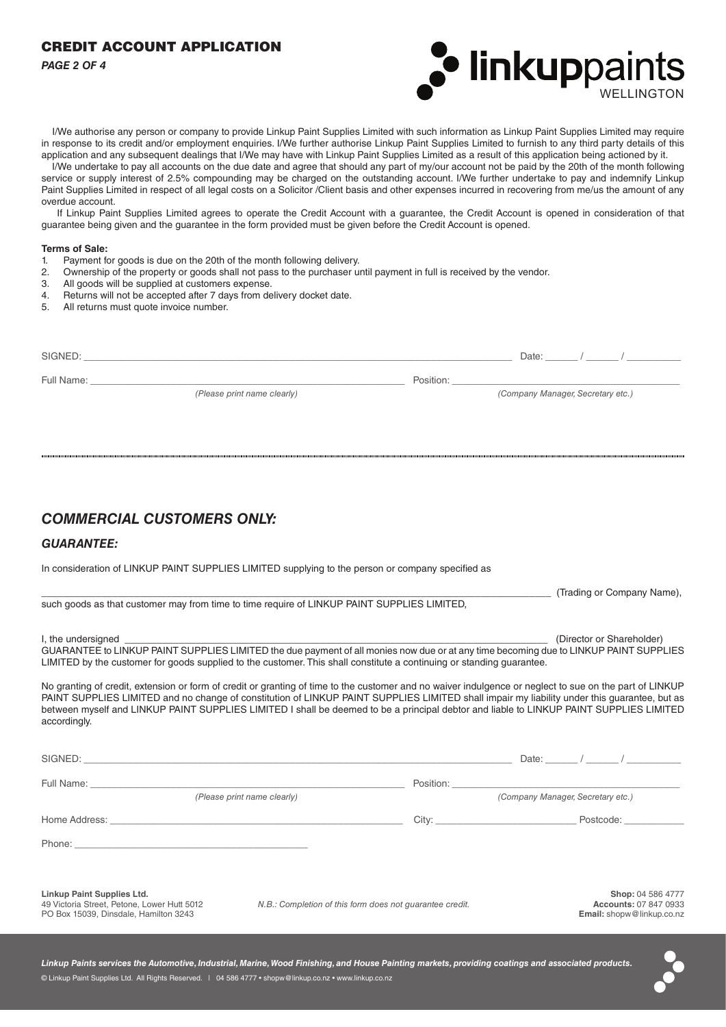# CREDIT ACCOUNT APPLICATION

*PAGE 2 OF 4*



 I/We authorise any person or company to provide Linkup Paint Supplies Limited with such information as Linkup Paint Supplies Limited may require in response to its credit and/or employment enquiries. I/We further authorise Linkup Paint Supplies Limited to furnish to any third party details of this application and any subsequent dealings that I/We may have with Linkup Paint Supplies Limited as a result of this application being actioned by it.

 I/We undertake to pay all accounts on the due date and agree that should any part of my/our account not be paid by the 20th of the month following service or supply interest of 2.5% compounding may be charged on the outstanding account. I/We further undertake to pay and indemnify Linkup Paint Supplies Limited in respect of all legal costs on a Solicitor /Client basis and other expenses incurred in recovering from me/us the amount of any overdue account.

 If Linkup Paint Supplies Limited agrees to operate the Credit Account with a guarantee, the Credit Account is opened in consideration of that guarantee being given and the guarantee in the form provided must be given before the Credit Account is opened.

#### **Terms of Sale:**

- 1. Payment for goods is due on the 20th of the month following delivery.
- 2. Ownership of the property or goods shall not pass to the purchaser until payment in full is received by the vendor.
- 3. All goods will be supplied at customers expense.
- 4. Returns will not be accepted after 7 days from delivery docket date.
- 5. All returns must quote invoice number.

| SIGNED:    |                             |           | Date:                             |
|------------|-----------------------------|-----------|-----------------------------------|
| Full Name: | (Please print name clearly) | Position: | (Company Manager, Secretary etc.) |
|            |                             |           |                                   |

# *COMMERCIAL CUSTOMERS ONLY:*

### *GUARANTEE:*

In consideration of LINKUP PAINT SUPPLIES LIMITED supplying to the person or company specified as

|                                                                                                                                                         | (Trading or Company Name), |
|---------------------------------------------------------------------------------------------------------------------------------------------------------|----------------------------|
| such goods as that customer may from time to time require of LINKUP PAINT SUPPLIES LIMITED.                                                             |                            |
|                                                                                                                                                         |                            |
| I, the undersigned                                                                                                                                      | (Director or Shareholder)  |
| GUARANTEE to LINKUP PAINT SUPPLIES LIMITED the due payment of all monies now due or at any time becoming due to LINKUP PAINT SUPPLIES                   |                            |
| LIMITED by the customer for goods supplied to the customer. This shall constitute a continuing or standing guarantee.                                   |                            |
| No granting of credit, extension or form of credit or granting of time to the customer and no waiver indulgence or neglect to sue on the part of LINKUP |                            |

PAINT SUPPLIES LIMITED and no change of constitution of LINKUP PAINT SUPPLIES LIMITED shall impair my liability under this guarantee, but as between myself and LINKUP PAINT SUPPLIES LIMITED I shall be deemed to be a principal debtor and liable to LINKUP PAINT SUPPLIES LIMITED accordingly.

| (Please print name clearly)                                                                                               |                                                          | (Company Manager, Secretary etc.) |           |                                                                                |
|---------------------------------------------------------------------------------------------------------------------------|----------------------------------------------------------|-----------------------------------|-----------|--------------------------------------------------------------------------------|
|                                                                                                                           |                                                          |                                   | Postcode: |                                                                                |
|                                                                                                                           |                                                          |                                   |           |                                                                                |
|                                                                                                                           |                                                          |                                   |           |                                                                                |
| <b>Linkup Paint Supplies Ltd.</b><br>49 Victoria Street, Petone, Lower Hutt 5012<br>PO Box 15039, Dinsdale, Hamilton 3243 | N.B.: Completion of this form does not quarantee credit. |                                   |           | Shop: 04 586 4777<br><b>Accounts: 07 847 0933</b><br>Email: shopw@linkup.co.nz |
|                                                                                                                           |                                                          |                                   |           |                                                                                |

*Linkup Paints services the Automotive, Industrial, Marine, Wood Finishing, and House Painting markets, providing coatings and associated products.* © Linkup Paint Supplies Ltd. All Rights Reserved. | 04 586 4777 • shopw@linkup.co.nz • www.linkup.co.nz

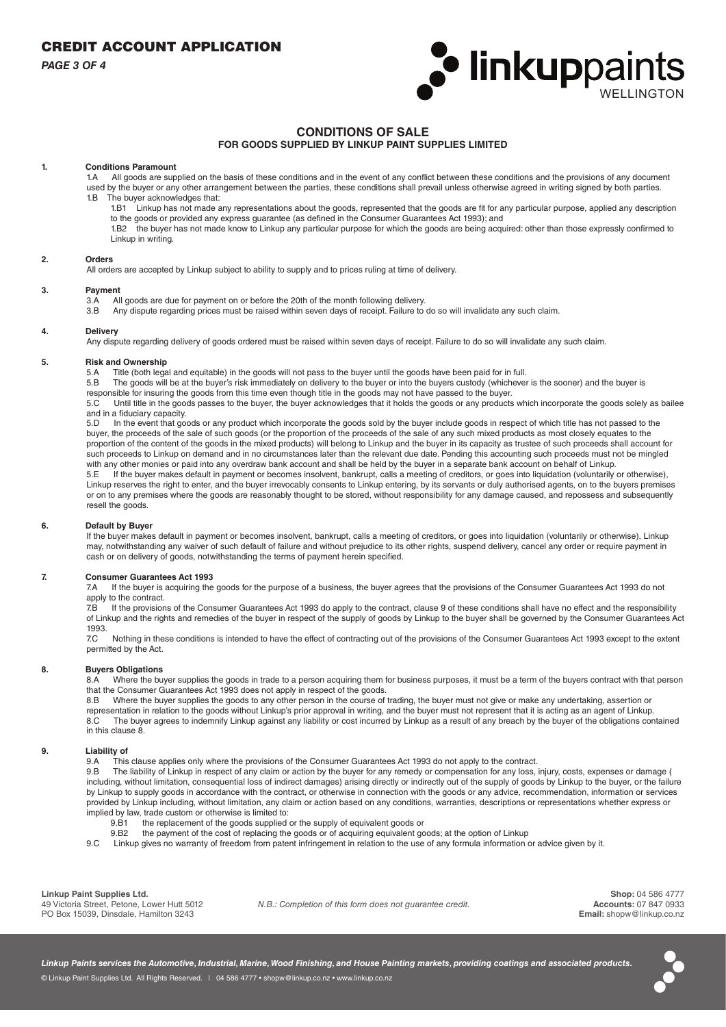*PAGE 3 OF 4*



# **CONDITIONS OF SALE**

### **FOR GOODS SUPPLIED BY LINKUP PAINT SUPPLIES LIMITED**

# **1. Conditions Paramount**

All goods are supplied on the basis of these conditions and in the event of any conflict between these conditions and the provisions of any document used by the buyer or any other arrangement between the parties, these conditions shall prevail unless otherwise agreed in writing signed by both parties. 1.B The buyer acknowledges that:

- 1.B1 Linkup has not made any representations about the goods, represented that the goods are fit for any particular purpose, applied any description to the goods or provided any express guarantee (as defined in the Consumer Guarantees Act 1993); and
- 1.B2 the buyer has not made know to Linkup any particular purpose for which the goods are being acquired: other than those expressly confirmed to Linkup in writing.

#### **2. Orders**

All orders are accepted by Linkup subject to ability to supply and to prices ruling at time of delivery.

#### **3. Payment**

- 3.A All goods are due for payment on or before the 20th of the month following delivery.<br>3.B Any dispute regarding prices must be raised within seven days of receipt. Failure to
- Any dispute regarding prices must be raised within seven days of receipt. Failure to do so will invalidate any such claim.

#### **4. Delivery**

Any dispute regarding delivery of goods ordered must be raised within seven days of receipt. Failure to do so will invalidate any such claim.

# **5. Risk and Ownership**

Title (both legal and equitable) in the goods will not pass to the buyer until the goods have been paid for in full.

5.B The goods will be at the buyer's risk immediately on delivery to the buyer or into the buyers custody (whichever is the sooner) and the buyer is responsible for insuring the goods from this time even though title in the goods may not have passed to the buyer.

5.C Until title in the goods passes to the buyer, the buyer acknowledges that it holds the goods or any products which incorporate the goods solely as bailee and in a fiduciary capacity.

5.D In the event that goods or any product which incorporate the goods sold by the buyer include goods in respect of which title has not passed to the buyer, the proceeds of the sale of such goods (or the proportion of the proceeds of the sale of any such mixed products as most closely equates to the proportion of the content of the goods in the mixed products) will belong to Linkup and the buyer in its capacity as trustee of such proceeds shall account for such proceeds to Linkup on demand and in no circumstances later than the relevant due date. Pending this accounting such proceeds must not be mingled with any other monies or paid into any overdraw bank account and shall be held by the buyer in a separate bank account on behalf of Linkup.<br>5.5. If the buyer makes default in payment or becomes insolvent, bankrupt, calls a

If the buyer makes default in payment or becomes insolvent, bankrupt, calls a meeting of creditors, or goes into liquidation (voluntarily or otherwise), Linkup reserves the right to enter, and the buyer irrevocably consents to Linkup entering, by its servants or duly authorised agents, on to the buyers premises or on to any premises where the goods are reasonably thought to be stored, without responsibility for any damage caused, and repossess and subsequently resell the goods.

#### **6. Default by Buyer**

If the buyer makes default in payment or becomes insolvent, bankrupt, calls a meeting of creditors, or goes into liquidation (voluntarily or otherwise), Linkup may, notwithstanding any waiver of such default of failure and without prejudice to its other rights, suspend delivery, cancel any order or require payment in cash or on delivery of goods, notwithstanding the terms of payment herein specified.

#### **7. Consumer Guarantees Act 1993**

7.A If the buyer is acquiring the goods for the purpose of a business, the buyer agrees that the provisions of the Consumer Guarantees Act 1993 do not apply to the contract.

7.B If the provisions of the Consumer Guarantees Act 1993 do apply to the contract, clause 9 of these conditions shall have no effect and the responsibility of Linkup and the rights and remedies of the buyer in respect of the supply of goods by Linkup to the buyer shall be governed by the Consumer Guarantees Act 1993.

7.C Nothing in these conditions is intended to have the effect of contracting out of the provisions of the Consumer Guarantees Act 1993 except to the extent permitted by the Act.

### **8. Buyers Obligations**

8.A Where the buyer supplies the goods in trade to a person acquiring them for business purposes, it must be a term of the buyers contract with that person that the Consumer Guarantees Act 1993 does not apply in respect of the goods.

8.B Where the buyer supplies the goods to any other person in the course of trading, the buyer must not give or make any undertaking, assertion or representation in relation to the goods without Linkup's prior approval in writing, and the buyer must not represent that it is acting as an agent of Linkup. 8.C The buyer agrees to indemnify Linkup against any liability or cost incurred by Linkup as a result of any breach by the buyer of the obligations contained in this clause 8.

#### **9. Liability of**

9.A This clause applies only where the provisions of the Consumer Guarantees Act 1993 do not apply to the contract.<br>9.B The liability of Linkup in respect of any claim or action by the buyer for any remedy or compensation

The liability of Linkup in respect of any claim or action by the buyer for any remedy or compensation for any loss, injury, costs, expenses or damage ( including, without limitation, consequential loss of indirect damages) arising directly or indirectly out of the supply of goods by Linkup to the buyer, or the failure by Linkup to supply goods in accordance with the contract, or otherwise in connection with the goods or any advice, recommendation, information or services provided by Linkup including, without limitation, any claim or action based on any conditions, warranties, descriptions or representations whether express or implied by law, trade custom or otherwise is limited to:

- $\overline{a}$  the replacement of the goods supplied or the supply of equivalent goods or
- 9.B2 the payment of the cost of replacing the goods or of acquiring equivalent goods; at the option of Linkup
- 9.C Linkup gives no warranty of freedom from patent infringement in relation to the use of any formula information or advice given by it.

**Linkup Paint Supplies Ltd.**

49 Victoria Street, Petone, Lower Hutt 5012 PO Box 15039, Dinsdale, Hamilton 3243

*N.B.: Completion of this form does not guarantee credit.*

**Shop:** 04 586 4777 **Accounts:** 07 847 0933 **Email:** shopw@linkup.co.nz